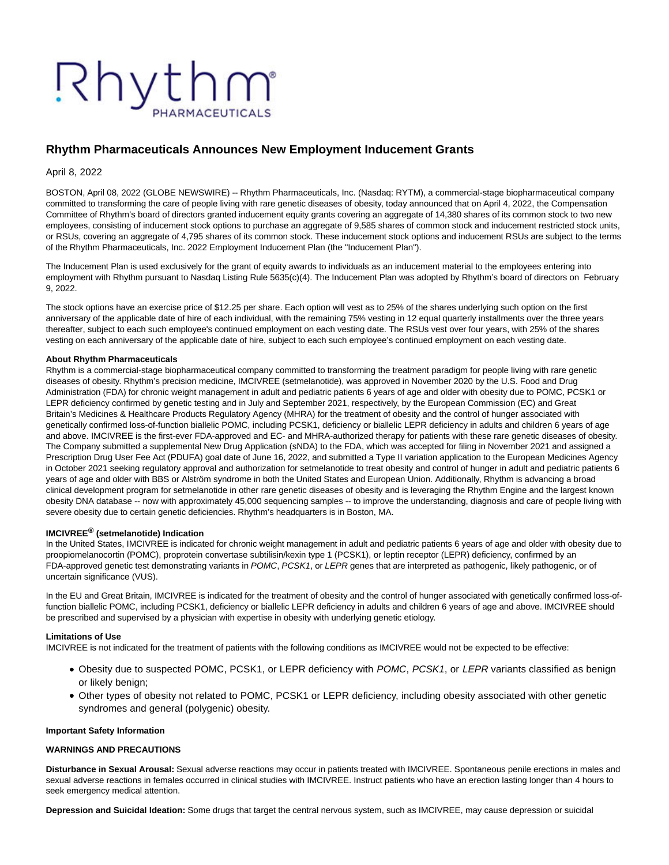# Rhythm

# **Rhythm Pharmaceuticals Announces New Employment Inducement Grants**

April 8, 2022

BOSTON, April 08, 2022 (GLOBE NEWSWIRE) -- Rhythm Pharmaceuticals, Inc. (Nasdaq: RYTM), a commercial-stage biopharmaceutical company committed to transforming the care of people living with rare genetic diseases of obesity, today announced that on April 4, 2022, the Compensation Committee of Rhythm's board of directors granted inducement equity grants covering an aggregate of 14,380 shares of its common stock to two new employees, consisting of inducement stock options to purchase an aggregate of 9,585 shares of common stock and inducement restricted stock units, or RSUs, covering an aggregate of 4,795 shares of its common stock. These inducement stock options and inducement RSUs are subject to the terms of the Rhythm Pharmaceuticals, Inc. 2022 Employment Inducement Plan (the "Inducement Plan").

The Inducement Plan is used exclusively for the grant of equity awards to individuals as an inducement material to the employees entering into employment with Rhythm pursuant to Nasdaq Listing Rule 5635(c)(4). The Inducement Plan was adopted by Rhythm's board of directors on February 9, 2022.

The stock options have an exercise price of \$12.25 per share. Each option will vest as to 25% of the shares underlying such option on the first anniversary of the applicable date of hire of each individual, with the remaining 75% vesting in 12 equal quarterly installments over the three years thereafter, subject to each such employee's continued employment on each vesting date. The RSUs vest over four years, with 25% of the shares vesting on each anniversary of the applicable date of hire, subject to each such employee's continued employment on each vesting date.

# **About Rhythm Pharmaceuticals**

Rhythm is a commercial-stage biopharmaceutical company committed to transforming the treatment paradigm for people living with rare genetic diseases of obesity. Rhythm's precision medicine, IMCIVREE (setmelanotide), was approved in November 2020 by the U.S. Food and Drug Administration (FDA) for chronic weight management in adult and pediatric patients 6 years of age and older with obesity due to POMC, PCSK1 or LEPR deficiency confirmed by genetic testing and in July and September 2021, respectively, by the European Commission (EC) and Great Britain's Medicines & Healthcare Products Regulatory Agency (MHRA) for the treatment of obesity and the control of hunger associated with genetically confirmed loss-of-function biallelic POMC, including PCSK1, deficiency or biallelic LEPR deficiency in adults and children 6 years of age and above. IMCIVREE is the first-ever FDA-approved and EC- and MHRA-authorized therapy for patients with these rare genetic diseases of obesity. The Company submitted a supplemental New Drug Application (sNDA) to the FDA, which was accepted for filing in November 2021 and assigned a Prescription Drug User Fee Act (PDUFA) goal date of June 16, 2022, and submitted a Type II variation application to the European Medicines Agency in October 2021 seeking regulatory approval and authorization for setmelanotide to treat obesity and control of hunger in adult and pediatric patients 6 years of age and older with BBS or Alström syndrome in both the United States and European Union. Additionally, Rhythm is advancing a broad clinical development program for setmelanotide in other rare genetic diseases of obesity and is leveraging the Rhythm Engine and the largest known obesity DNA database -- now with approximately 45,000 sequencing samples -- to improve the understanding, diagnosis and care of people living with severe obesity due to certain genetic deficiencies. Rhythm's headquarters is in Boston, MA.

## **IMCIVREE® (setmelanotide) Indication**

In the United States, IMCIVREE is indicated for chronic weight management in adult and pediatric patients 6 years of age and older with obesity due to proopiomelanocortin (POMC), proprotein convertase subtilisin/kexin type 1 (PCSK1), or leptin receptor (LEPR) deficiency, confirmed by an FDA-approved genetic test demonstrating variants in POMC, PCSK1, or LEPR genes that are interpreted as pathogenic, likely pathogenic, or of uncertain significance (VUS).

In the EU and Great Britain, IMCIVREE is indicated for the treatment of obesity and the control of hunger associated with genetically confirmed loss-offunction biallelic POMC, including PCSK1, deficiency or biallelic LEPR deficiency in adults and children 6 years of age and above. IMCIVREE should be prescribed and supervised by a physician with expertise in obesity with underlying genetic etiology.

#### **Limitations of Use**

IMCIVREE is not indicated for the treatment of patients with the following conditions as IMCIVREE would not be expected to be effective:

- Obesity due to suspected POMC, PCSK1, or LEPR deficiency with POMC, PCSK1, or LEPR variants classified as benign or likely benign;
- Other types of obesity not related to POMC, PCSK1 or LEPR deficiency, including obesity associated with other genetic syndromes and general (polygenic) obesity.

#### **Important Safety Information**

#### **WARNINGS AND PRECAUTIONS**

**Disturbance in Sexual Arousal:** Sexual adverse reactions may occur in patients treated with IMCIVREE. Spontaneous penile erections in males and sexual adverse reactions in females occurred in clinical studies with IMCIVREE. Instruct patients who have an erection lasting longer than 4 hours to seek emergency medical attention.

**Depression and Suicidal Ideation:** Some drugs that target the central nervous system, such as IMCIVREE, may cause depression or suicidal